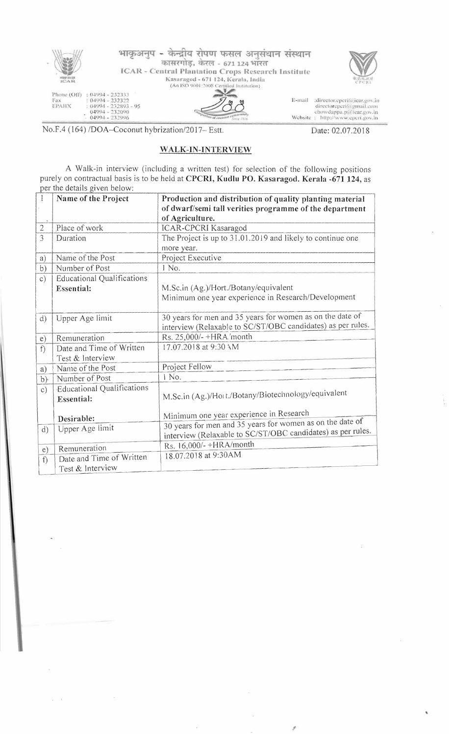

No.F.4 (164) /DOA--Coconut hybrization/2017- Estt. Date: 02.07.2018

## WALK-IN-INTERVIEW

A Walk-in interview (including a written test) for selection of the following positions purely on contractual basis is to be held at CPCRI, Kudlu PO. Kasaragod. Kerala -671 124, as per the details given below:

| 1              | Name of the Project               | Production and distribution of quality planting material    |
|----------------|-----------------------------------|-------------------------------------------------------------|
|                |                                   | of dwarf/semi tall verities programme of the department     |
|                |                                   | of Agriculture.                                             |
| $\overline{2}$ | Place of work                     | <b>ICAR-CPCRI Kasaragod</b>                                 |
| 3              | Duration                          | The Project is up to 31.01.2019 and likely to continue one  |
|                |                                   | more year.                                                  |
| a)             | Name of the Post                  | Project Executive                                           |
| b)             | Number of Post                    | 1 No.                                                       |
| c)             | <b>Educational Qualifications</b> |                                                             |
|                | <b>Essential:</b>                 | M.Sc.in (Ag.)/Hort./Botany/equivalent                       |
|                |                                   | Minimum one year experience in Research/Development         |
|                |                                   |                                                             |
| d)             | Upper Age limit                   | 30 years for men and 35 years for women as on the date of   |
|                |                                   | interview (Relaxable to SC/ST/OBC candidates) as per rules. |
| e)             | Remuneration                      | Rs. 25,000/-+HRA/month                                      |
| f              | Date and Time of Written          | 17.07.2018 at 9:30 AM                                       |
|                | Test & Interview                  |                                                             |
| a)             | Name of the Post                  | Project Fellow                                              |
| b)             | Number of Post                    | 1 No.                                                       |
| $\circ$ )      | <b>Educational Qualifications</b> |                                                             |
|                | Essential:                        | M.Sc.in (Ag.)/Hott./Botany/Biotechnology/equivalent         |
|                |                                   |                                                             |
|                | Desirable:                        | Minimum one year experience in Research                     |
| d)             | Upper Age limit                   | 30 years for men and 35 years for women as on the date of   |
|                |                                   | interview (Relaxable to SC/ST/OBC candidates) as per rules. |
| e)             | Remuneration                      | Rs. 16,000/-+HRA/month                                      |
| f              | Date and Time of Written          | 18.07.2018 at 9:30AM                                        |
|                | Test & Interview                  |                                                             |